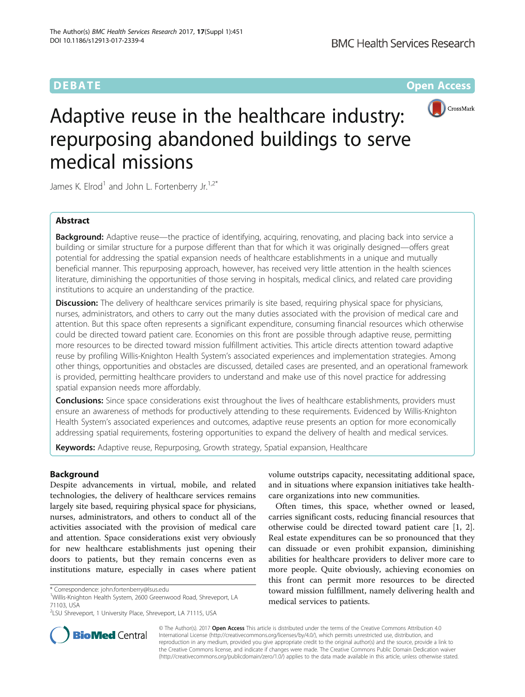**DEBATE CONSERVATION CONSERVATION** 



# Adaptive reuse in the healthcare industry: repurposing abandoned buildings to serve medical missions

James K. Elrod<sup>1</sup> and John L. Fortenberry Jr.<sup>1,2\*</sup>

# Abstract

**Background:** Adaptive reuse—the practice of identifying, acquiring, renovating, and placing back into service a building or similar structure for a purpose different than that for which it was originally designed—offers great potential for addressing the spatial expansion needs of healthcare establishments in a unique and mutually beneficial manner. This repurposing approach, however, has received very little attention in the health sciences literature, diminishing the opportunities of those serving in hospitals, medical clinics, and related care providing institutions to acquire an understanding of the practice.

Discussion: The delivery of healthcare services primarily is site based, requiring physical space for physicians, nurses, administrators, and others to carry out the many duties associated with the provision of medical care and attention. But this space often represents a significant expenditure, consuming financial resources which otherwise could be directed toward patient care. Economies on this front are possible through adaptive reuse, permitting more resources to be directed toward mission fulfillment activities. This article directs attention toward adaptive reuse by profiling Willis-Knighton Health System's associated experiences and implementation strategies. Among other things, opportunities and obstacles are discussed, detailed cases are presented, and an operational framework is provided, permitting healthcare providers to understand and make use of this novel practice for addressing spatial expansion needs more affordably.

**Conclusions:** Since space considerations exist throughout the lives of healthcare establishments, providers must ensure an awareness of methods for productively attending to these requirements. Evidenced by Willis-Knighton Health System's associated experiences and outcomes, adaptive reuse presents an option for more economically addressing spatial requirements, fostering opportunities to expand the delivery of health and medical services.

Keywords: Adaptive reuse, Repurposing, Growth strategy, Spatial expansion, Healthcare

# Background

Despite advancements in virtual, mobile, and related technologies, the delivery of healthcare services remains largely site based, requiring physical space for physicians, nurses, administrators, and others to conduct all of the activities associated with the provision of medical care and attention. Space considerations exist very obviously for new healthcare establishments just opening their doors to patients, but they remain concerns even as institutions mature, especially in cases where patient

Willis-Knighton Health System, 2600 Greenwood Road, Shreveport, LA 71103, USA

volume outstrips capacity, necessitating additional space, and in situations where expansion initiatives take healthcare organizations into new communities.

Often times, this space, whether owned or leased, carries significant costs, reducing financial resources that otherwise could be directed toward patient care [[1, 2](#page-8-0)]. Real estate expenditures can be so pronounced that they can dissuade or even prohibit expansion, diminishing abilities for healthcare providers to deliver more care to more people. Quite obviously, achieving economies on this front can permit more resources to be directed toward mission fulfillment, namely delivering health and medical services to patients.



© The Author(s). 2017 **Open Access** This article is distributed under the terms of the Creative Commons Attribution 4.0 International License [\(http://creativecommons.org/licenses/by/4.0/](http://creativecommons.org/licenses/by/4.0/)), which permits unrestricted use, distribution, and reproduction in any medium, provided you give appropriate credit to the original author(s) and the source, provide a link to the Creative Commons license, and indicate if changes were made. The Creative Commons Public Domain Dedication waiver [\(http://creativecommons.org/publicdomain/zero/1.0/](http://creativecommons.org/publicdomain/zero/1.0/)) applies to the data made available in this article, unless otherwise stated.

<sup>\*</sup> Correspondence: [john.fortenberry@lsus.edu](mailto:john.fortenberry@lsus.edu) <sup>1</sup>

<sup>&</sup>lt;sup>2</sup>LSU Shreveport, 1 University Place, Shreveport, LA 71115, USA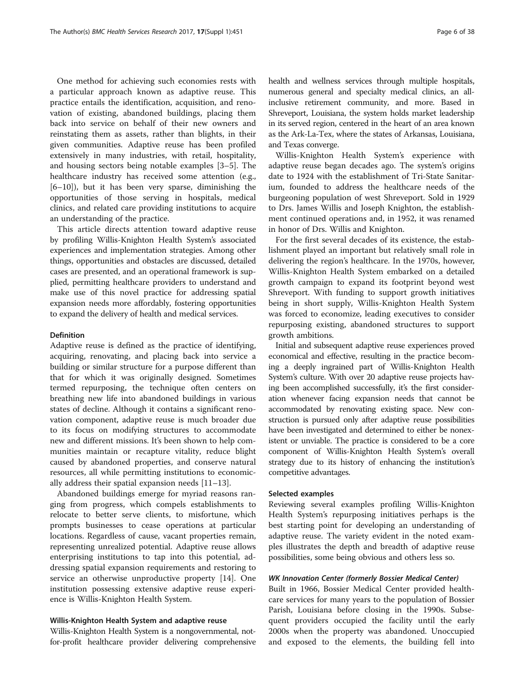One method for achieving such economies rests with a particular approach known as adaptive reuse. This practice entails the identification, acquisition, and renovation of existing, abandoned buildings, placing them back into service on behalf of their new owners and reinstating them as assets, rather than blights, in their given communities. Adaptive reuse has been profiled extensively in many industries, with retail, hospitality, and housing sectors being notable examples [\[3](#page-8-0)–[5](#page-9-0)]. The healthcare industry has received some attention (e.g., [[6](#page-9-0)–[10\]](#page-9-0)), but it has been very sparse, diminishing the opportunities of those serving in hospitals, medical clinics, and related care providing institutions to acquire an understanding of the practice.

This article directs attention toward adaptive reuse by profiling Willis-Knighton Health System's associated experiences and implementation strategies. Among other things, opportunities and obstacles are discussed, detailed cases are presented, and an operational framework is supplied, permitting healthcare providers to understand and make use of this novel practice for addressing spatial expansion needs more affordably, fostering opportunities to expand the delivery of health and medical services.

#### Definition

Adaptive reuse is defined as the practice of identifying, acquiring, renovating, and placing back into service a building or similar structure for a purpose different than that for which it was originally designed. Sometimes termed repurposing, the technique often centers on breathing new life into abandoned buildings in various states of decline. Although it contains a significant renovation component, adaptive reuse is much broader due to its focus on modifying structures to accommodate new and different missions. It's been shown to help communities maintain or recapture vitality, reduce blight caused by abandoned properties, and conserve natural resources, all while permitting institutions to economically address their spatial expansion needs [\[11](#page-9-0)–[13\]](#page-9-0).

Abandoned buildings emerge for myriad reasons ranging from progress, which compels establishments to relocate to better serve clients, to misfortune, which prompts businesses to cease operations at particular locations. Regardless of cause, vacant properties remain, representing unrealized potential. Adaptive reuse allows enterprising institutions to tap into this potential, addressing spatial expansion requirements and restoring to service an otherwise unproductive property [[14](#page-9-0)]. One institution possessing extensive adaptive reuse experience is Willis-Knighton Health System.

#### Willis-Knighton Health System and adaptive reuse

Willis-Knighton Health System is a nongovernmental, notfor-profit healthcare provider delivering comprehensive health and wellness services through multiple hospitals, numerous general and specialty medical clinics, an allinclusive retirement community, and more. Based in Shreveport, Louisiana, the system holds market leadership in its served region, centered in the heart of an area known as the Ark-La-Tex, where the states of Arkansas, Louisiana, and Texas converge.

Willis-Knighton Health System's experience with adaptive reuse began decades ago. The system's origins date to 1924 with the establishment of Tri-State Sanitarium, founded to address the healthcare needs of the burgeoning population of west Shreveport. Sold in 1929 to Drs. James Willis and Joseph Knighton, the establishment continued operations and, in 1952, it was renamed in honor of Drs. Willis and Knighton.

For the first several decades of its existence, the establishment played an important but relatively small role in delivering the region's healthcare. In the 1970s, however, Willis-Knighton Health System embarked on a detailed growth campaign to expand its footprint beyond west Shreveport. With funding to support growth initiatives being in short supply, Willis-Knighton Health System was forced to economize, leading executives to consider repurposing existing, abandoned structures to support growth ambitions.

Initial and subsequent adaptive reuse experiences proved economical and effective, resulting in the practice becoming a deeply ingrained part of Willis-Knighton Health System's culture. With over 20 adaptive reuse projects having been accomplished successfully, it's the first consideration whenever facing expansion needs that cannot be accommodated by renovating existing space. New construction is pursued only after adaptive reuse possibilities have been investigated and determined to either be nonexistent or unviable. The practice is considered to be a core component of Willis-Knighton Health System's overall strategy due to its history of enhancing the institution's competitive advantages.

#### Selected examples

Reviewing several examples profiling Willis-Knighton Health System's repurposing initiatives perhaps is the best starting point for developing an understanding of adaptive reuse. The variety evident in the noted examples illustrates the depth and breadth of adaptive reuse possibilities, some being obvious and others less so.

#### WK Innovation Center (formerly Bossier Medical Center)

Built in 1966, Bossier Medical Center provided healthcare services for many years to the population of Bossier Parish, Louisiana before closing in the 1990s. Subsequent providers occupied the facility until the early 2000s when the property was abandoned. Unoccupied and exposed to the elements, the building fell into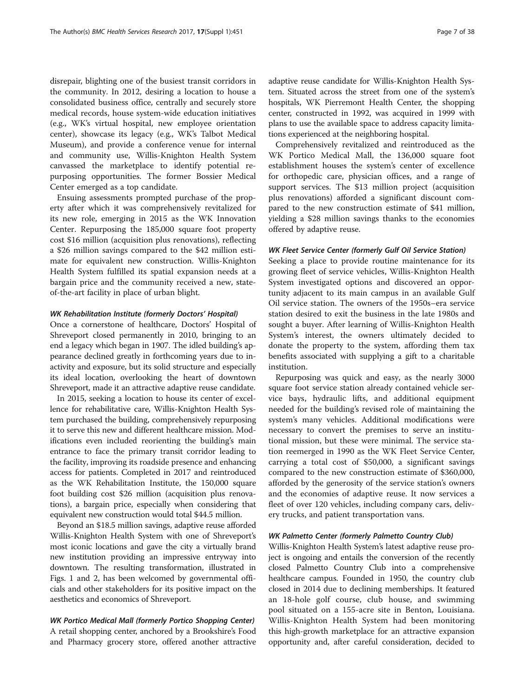disrepair, blighting one of the busiest transit corridors in the community. In 2012, desiring a location to house a consolidated business office, centrally and securely store medical records, house system-wide education initiatives (e.g., WK's virtual hospital, new employee orientation center), showcase its legacy (e.g., WK's Talbot Medical Museum), and provide a conference venue for internal and community use, Willis-Knighton Health System canvassed the marketplace to identify potential repurposing opportunities. The former Bossier Medical Center emerged as a top candidate.

Ensuing assessments prompted purchase of the property after which it was comprehensively revitalized for its new role, emerging in 2015 as the WK Innovation Center. Repurposing the 185,000 square foot property cost \$16 million (acquisition plus renovations), reflecting a \$26 million savings compared to the \$42 million estimate for equivalent new construction. Willis-Knighton Health System fulfilled its spatial expansion needs at a bargain price and the community received a new, stateof-the-art facility in place of urban blight.

#### WK Rehabilitation Institute (formerly Doctors' Hospital)

Once a cornerstone of healthcare, Doctors' Hospital of Shreveport closed permanently in 2010, bringing to an end a legacy which began in 1907. The idled building's appearance declined greatly in forthcoming years due to inactivity and exposure, but its solid structure and especially its ideal location, overlooking the heart of downtown Shreveport, made it an attractive adaptive reuse candidate.

In 2015, seeking a location to house its center of excellence for rehabilitative care, Willis-Knighton Health System purchased the building, comprehensively repurposing it to serve this new and different healthcare mission. Modifications even included reorienting the building's main entrance to face the primary transit corridor leading to the facility, improving its roadside presence and enhancing access for patients. Completed in 2017 and reintroduced as the WK Rehabilitation Institute, the 150,000 square foot building cost \$26 million (acquisition plus renovations), a bargain price, especially when considering that equivalent new construction would total \$44.5 million.

Beyond an \$18.5 million savings, adaptive reuse afforded Willis-Knighton Health System with one of Shreveport's most iconic locations and gave the city a virtually brand new institution providing an impressive entryway into downtown. The resulting transformation, illustrated in Figs. [1](#page-3-0) and [2](#page-4-0), has been welcomed by governmental officials and other stakeholders for its positive impact on the aesthetics and economics of Shreveport.

#### WK Portico Medical Mall (formerly Portico Shopping Center)

A retail shopping center, anchored by a Brookshire's Food and Pharmacy grocery store, offered another attractive adaptive reuse candidate for Willis-Knighton Health System. Situated across the street from one of the system's hospitals, WK Pierremont Health Center, the shopping center, constructed in 1992, was acquired in 1999 with plans to use the available space to address capacity limitations experienced at the neighboring hospital.

Comprehensively revitalized and reintroduced as the WK Portico Medical Mall, the 136,000 square foot establishment houses the system's center of excellence for orthopedic care, physician offices, and a range of support services. The \$13 million project (acquisition plus renovations) afforded a significant discount compared to the new construction estimate of \$41 million, yielding a \$28 million savings thanks to the economies offered by adaptive reuse.

#### WK Fleet Service Center (formerly Gulf Oil Service Station)

Seeking a place to provide routine maintenance for its growing fleet of service vehicles, Willis-Knighton Health System investigated options and discovered an opportunity adjacent to its main campus in an available Gulf Oil service station. The owners of the 1950s–era service station desired to exit the business in the late 1980s and sought a buyer. After learning of Willis-Knighton Health System's interest, the owners ultimately decided to donate the property to the system, affording them tax benefits associated with supplying a gift to a charitable institution.

Repurposing was quick and easy, as the nearly 3000 square foot service station already contained vehicle service bays, hydraulic lifts, and additional equipment needed for the building's revised role of maintaining the system's many vehicles. Additional modifications were necessary to convert the premises to serve an institutional mission, but these were minimal. The service station reemerged in 1990 as the WK Fleet Service Center, carrying a total cost of \$50,000, a significant savings compared to the new construction estimate of \$360,000, afforded by the generosity of the service station's owners and the economies of adaptive reuse. It now services a fleet of over 120 vehicles, including company cars, delivery trucks, and patient transportation vans.

#### WK Palmetto Center (formerly Palmetto Country Club)

Willis-Knighton Health System's latest adaptive reuse project is ongoing and entails the conversion of the recently closed Palmetto Country Club into a comprehensive healthcare campus. Founded in 1950, the country club closed in 2014 due to declining memberships. It featured an 18-hole golf course, club house, and swimming pool situated on a 155-acre site in Benton, Louisiana. Willis-Knighton Health System had been monitoring this high-growth marketplace for an attractive expansion opportunity and, after careful consideration, decided to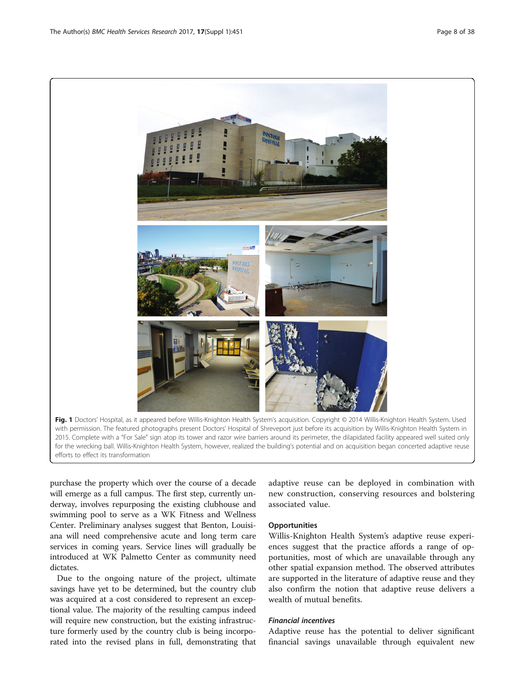<span id="page-3-0"></span>

efforts to effect its transformation

purchase the property which over the course of a decade will emerge as a full campus. The first step, currently underway, involves repurposing the existing clubhouse and swimming pool to serve as a WK Fitness and Wellness Center. Preliminary analyses suggest that Benton, Louisiana will need comprehensive acute and long term care services in coming years. Service lines will gradually be introduced at WK Palmetto Center as community need dictates.

Due to the ongoing nature of the project, ultimate savings have yet to be determined, but the country club was acquired at a cost considered to represent an exceptional value. The majority of the resulting campus indeed will require new construction, but the existing infrastructure formerly used by the country club is being incorporated into the revised plans in full, demonstrating that

adaptive reuse can be deployed in combination with new construction, conserving resources and bolstering associated value.

#### **Opportunities**

Willis-Knighton Health System's adaptive reuse experiences suggest that the practice affords a range of opportunities, most of which are unavailable through any other spatial expansion method. The observed attributes are supported in the literature of adaptive reuse and they also confirm the notion that adaptive reuse delivers a wealth of mutual benefits.

#### Financial incentives

Adaptive reuse has the potential to deliver significant financial savings unavailable through equivalent new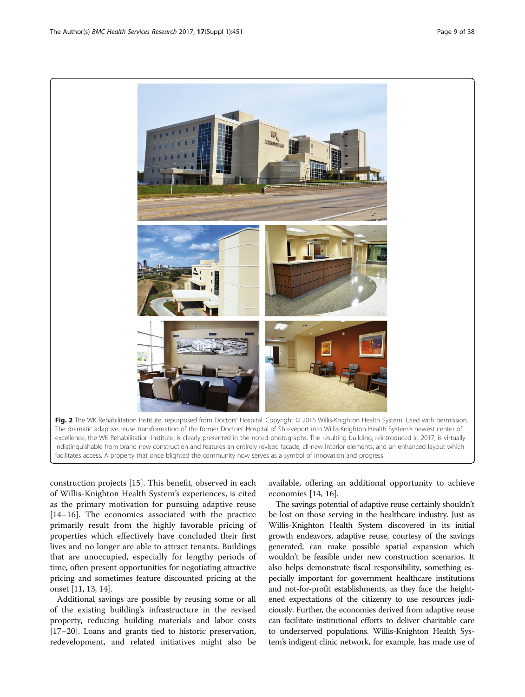<span id="page-4-0"></span>

construction projects [[15](#page-9-0)]. This benefit, observed in each of Willis-Knighton Health System's experiences, is cited as the primary motivation for pursuing adaptive reuse [[14](#page-9-0)–[16\]](#page-9-0). The economies associated with the practice primarily result from the highly favorable pricing of properties which effectively have concluded their first lives and no longer are able to attract tenants. Buildings that are unoccupied, especially for lengthy periods of time, often present opportunities for negotiating attractive pricing and sometimes feature discounted pricing at the onset [[11](#page-9-0), [13, 14](#page-9-0)].

Additional savings are possible by reusing some or all of the existing building's infrastructure in the revised property, reducing building materials and labor costs [[17](#page-9-0)–[20](#page-9-0)]. Loans and grants tied to historic preservation, redevelopment, and related initiatives might also be

available, offering an additional opportunity to achieve economies [\[14](#page-9-0), [16\]](#page-9-0).

The savings potential of adaptive reuse certainly shouldn't be lost on those serving in the healthcare industry. Just as Willis-Knighton Health System discovered in its initial growth endeavors, adaptive reuse, courtesy of the savings generated, can make possible spatial expansion which wouldn't be feasible under new construction scenarios. It also helps demonstrate fiscal responsibility, something especially important for government healthcare institutions and not-for-profit establishments, as they face the heightened expectations of the citizenry to use resources judiciously. Further, the economies derived from adaptive reuse can facilitate institutional efforts to deliver charitable care to underserved populations. Willis-Knighton Health System's indigent clinic network, for example, has made use of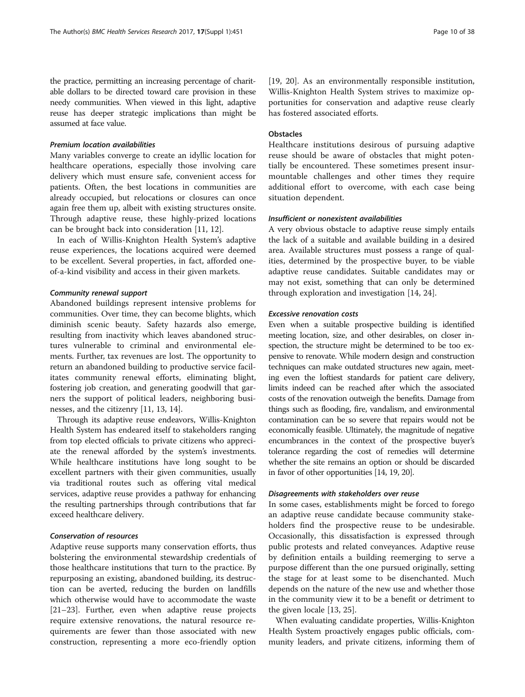the practice, permitting an increasing percentage of charitable dollars to be directed toward care provision in these needy communities. When viewed in this light, adaptive reuse has deeper strategic implications than might be assumed at face value.

#### Premium location availabilities

Many variables converge to create an idyllic location for healthcare operations, especially those involving care delivery which must ensure safe, convenient access for patients. Often, the best locations in communities are already occupied, but relocations or closures can once again free them up, albeit with existing structures onsite. Through adaptive reuse, these highly-prized locations can be brought back into consideration [[11, 12\]](#page-9-0).

In each of Willis-Knighton Health System's adaptive reuse experiences, the locations acquired were deemed to be excellent. Several properties, in fact, afforded oneof-a-kind visibility and access in their given markets.

#### Community renewal support

Abandoned buildings represent intensive problems for communities. Over time, they can become blights, which diminish scenic beauty. Safety hazards also emerge, resulting from inactivity which leaves abandoned structures vulnerable to criminal and environmental elements. Further, tax revenues are lost. The opportunity to return an abandoned building to productive service facilitates community renewal efforts, eliminating blight, fostering job creation, and generating goodwill that garners the support of political leaders, neighboring businesses, and the citizenry [\[11](#page-9-0), [13](#page-9-0), [14](#page-9-0)].

Through its adaptive reuse endeavors, Willis-Knighton Health System has endeared itself to stakeholders ranging from top elected officials to private citizens who appreciate the renewal afforded by the system's investments. While healthcare institutions have long sought to be excellent partners with their given communities, usually via traditional routes such as offering vital medical services, adaptive reuse provides a pathway for enhancing the resulting partnerships through contributions that far exceed healthcare delivery.

#### Conservation of resources

Adaptive reuse supports many conservation efforts, thus bolstering the environmental stewardship credentials of those healthcare institutions that turn to the practice. By repurposing an existing, abandoned building, its destruction can be averted, reducing the burden on landfills which otherwise would have to accommodate the waste [[21](#page-9-0)–[23](#page-9-0)]. Further, even when adaptive reuse projects require extensive renovations, the natural resource requirements are fewer than those associated with new construction, representing a more eco-friendly option

[[19, 20](#page-9-0)]. As an environmentally responsible institution, Willis-Knighton Health System strives to maximize opportunities for conservation and adaptive reuse clearly has fostered associated efforts.

## **Obstacles**

Healthcare institutions desirous of pursuing adaptive reuse should be aware of obstacles that might potentially be encountered. These sometimes present insurmountable challenges and other times they require additional effort to overcome, with each case being situation dependent.

#### Insufficient or nonexistent availabilities

A very obvious obstacle to adaptive reuse simply entails the lack of a suitable and available building in a desired area. Available structures must possess a range of qualities, determined by the prospective buyer, to be viable adaptive reuse candidates. Suitable candidates may or may not exist, something that can only be determined through exploration and investigation [\[14](#page-9-0), [24](#page-9-0)].

#### Excessive renovation costs

Even when a suitable prospective building is identified meeting location, size, and other desirables, on closer inspection, the structure might be determined to be too expensive to renovate. While modern design and construction techniques can make outdated structures new again, meeting even the loftiest standards for patient care delivery, limits indeed can be reached after which the associated costs of the renovation outweigh the benefits. Damage from things such as flooding, fire, vandalism, and environmental contamination can be so severe that repairs would not be economically feasible. Ultimately, the magnitude of negative encumbrances in the context of the prospective buyer's tolerance regarding the cost of remedies will determine whether the site remains an option or should be discarded in favor of other opportunities [[14](#page-9-0), [19](#page-9-0), [20](#page-9-0)].

#### Disagreements with stakeholders over reuse

In some cases, establishments might be forced to forego an adaptive reuse candidate because community stakeholders find the prospective reuse to be undesirable. Occasionally, this dissatisfaction is expressed through public protests and related conveyances. Adaptive reuse by definition entails a building reemerging to serve a purpose different than the one pursued originally, setting the stage for at least some to be disenchanted. Much depends on the nature of the new use and whether those in the community view it to be a benefit or detriment to the given locale [[13](#page-9-0), [25](#page-9-0)].

When evaluating candidate properties, Willis-Knighton Health System proactively engages public officials, community leaders, and private citizens, informing them of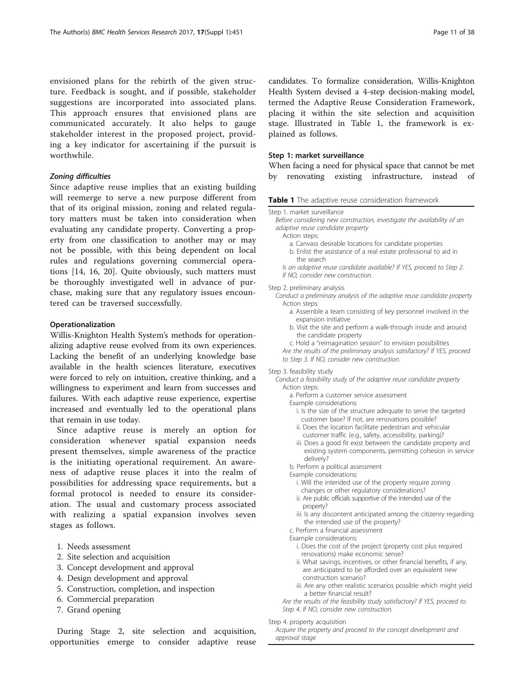envisioned plans for the rebirth of the given structure. Feedback is sought, and if possible, stakeholder suggestions are incorporated into associated plans. This approach ensures that envisioned plans are communicated accurately. It also helps to gauge stakeholder interest in the proposed project, providing a key indicator for ascertaining if the pursuit is worthwhile.

## Zoning difficulties

Since adaptive reuse implies that an existing building will reemerge to serve a new purpose different from that of its original mission, zoning and related regulatory matters must be taken into consideration when evaluating any candidate property. Converting a property from one classification to another may or may not be possible, with this being dependent on local rules and regulations governing commercial operations [[14, 16](#page-9-0), [20\]](#page-9-0). Quite obviously, such matters must be thoroughly investigated well in advance of purchase, making sure that any regulatory issues encountered can be traversed successfully.

#### Operationalization

Willis-Knighton Health System's methods for operationalizing adaptive reuse evolved from its own experiences. Lacking the benefit of an underlying knowledge base available in the health sciences literature, executives were forced to rely on intuition, creative thinking, and a willingness to experiment and learn from successes and failures. With each adaptive reuse experience, expertise increased and eventually led to the operational plans that remain in use today.

Since adaptive reuse is merely an option for consideration whenever spatial expansion needs present themselves, simple awareness of the practice is the initiating operational requirement. An awareness of adaptive reuse places it into the realm of possibilities for addressing space requirements, but a formal protocol is needed to ensure its consideration. The usual and customary process associated with realizing a spatial expansion involves seven stages as follows.

- 1. Needs assessment
- 2. Site selection and acquisition
- 3. Concept development and approval
- 4. Design development and approval
- 5. Construction, completion, and inspection
- 6. Commercial preparation
- 7. Grand opening

During Stage 2, site selection and acquisition, opportunities emerge to consider adaptive reuse candidates. To formalize consideration, Willis-Knighton Health System devised a 4-step decision-making model, termed the Adaptive Reuse Consideration Framework, placing it within the site selection and acquisition stage. Illustrated in Table 1, the framework is explained as follows.

#### Step 1: market surveillance

When facing a need for physical space that cannot be met by renovating existing infrastructure, instead of

| <b>Table 1</b> The adaptive reuse consideration framework |  |  |
|-----------------------------------------------------------|--|--|
|-----------------------------------------------------------|--|--|

|  |  | Step 1. market surveillance |
|--|--|-----------------------------|
|--|--|-----------------------------|

Before considering new construction, investigate the availability of an adaptive reuse candidate property

Action steps:

- a. Canvass desirable locations for candidate properties
- b. Enlist the assistance of a real estate professional to aid in the search
- Is an adaptive reuse candidate available? If YES, proceed to Step 2.
- If NO, consider new construction.

Step 2. preliminary analysis

- Conduct a preliminary analysis of the adaptive reuse candidate property Action steps:
	- a. Assemble a team consisting of key personnel involved in the expansion initiative
	- b. Visit the site and perform a walk-through inside and around the candidate property
	- c. Hold a "reimagination session" to envision possibilities

Are the results of the preliminary analysis satisfactory? If YES, proceed to Step 3. If NO, consider new construction.

Step 3. feasibility study

Conduct a feasibility study of the adaptive reuse candidate property Action steps:

- a. Perform a customer service assessment
- Example considerations:
	- i. Is the size of the structure adequate to serve the targeted customer base? If not, are renovations possible?
	- ii. Does the location facilitate pedestrian and vehicular customer traffic (e.g., safety, accessibility, parking)?
	- iii. Does a good fit exist between the candidate property and existing system components, permitting cohesion in service delivery?
- b. Perform a political assessment
- Example considerations:
	- i. Will the intended use of the property require zoning changes or other regulatory considerations?
	- ii. Are public officials supportive of the intended use of the property?
	- iii. Is any discontent anticipated among the citizenry regarding the intended use of the property?
- c. Perform a financial assessment

Example considerations:

- i. Does the cost of the project (property cost plus required renovations) make economic sense?
- ii. What savings, incentives, or other financial benefits, if any, are anticipated to be afforded over an equivalent new construction scenario?
- iii. Are any other realistic scenarios possible which might yield a better financial result?

Are the results of the feasibility study satisfactory? If YES, proceed to Step 4. If NO, consider new construction.

Step 4. property acquisition

Acquire the property and proceed to the concept development and approval stage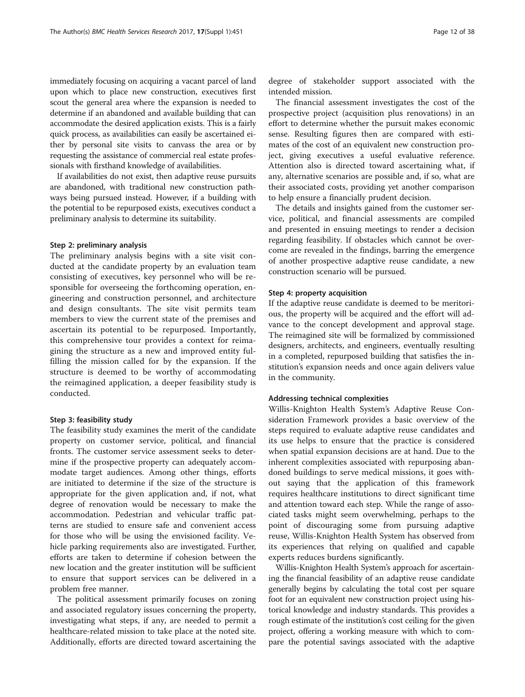immediately focusing on acquiring a vacant parcel of land upon which to place new construction, executives first scout the general area where the expansion is needed to determine if an abandoned and available building that can accommodate the desired application exists. This is a fairly quick process, as availabilities can easily be ascertained either by personal site visits to canvass the area or by requesting the assistance of commercial real estate professionals with firsthand knowledge of availabilities.

If availabilities do not exist, then adaptive reuse pursuits are abandoned, with traditional new construction pathways being pursued instead. However, if a building with the potential to be repurposed exists, executives conduct a preliminary analysis to determine its suitability.

#### Step 2: preliminary analysis

The preliminary analysis begins with a site visit conducted at the candidate property by an evaluation team consisting of executives, key personnel who will be responsible for overseeing the forthcoming operation, engineering and construction personnel, and architecture and design consultants. The site visit permits team members to view the current state of the premises and ascertain its potential to be repurposed. Importantly, this comprehensive tour provides a context for reimagining the structure as a new and improved entity fulfilling the mission called for by the expansion. If the structure is deemed to be worthy of accommodating the reimagined application, a deeper feasibility study is conducted.

## Step 3: feasibility study

The feasibility study examines the merit of the candidate property on customer service, political, and financial fronts. The customer service assessment seeks to determine if the prospective property can adequately accommodate target audiences. Among other things, efforts are initiated to determine if the size of the structure is appropriate for the given application and, if not, what degree of renovation would be necessary to make the accommodation. Pedestrian and vehicular traffic patterns are studied to ensure safe and convenient access for those who will be using the envisioned facility. Vehicle parking requirements also are investigated. Further, efforts are taken to determine if cohesion between the new location and the greater institution will be sufficient to ensure that support services can be delivered in a problem free manner.

The political assessment primarily focuses on zoning and associated regulatory issues concerning the property, investigating what steps, if any, are needed to permit a healthcare-related mission to take place at the noted site. Additionally, efforts are directed toward ascertaining the

degree of stakeholder support associated with the intended mission.

The financial assessment investigates the cost of the prospective project (acquisition plus renovations) in an effort to determine whether the pursuit makes economic sense. Resulting figures then are compared with estimates of the cost of an equivalent new construction project, giving executives a useful evaluative reference. Attention also is directed toward ascertaining what, if any, alternative scenarios are possible and, if so, what are their associated costs, providing yet another comparison to help ensure a financially prudent decision.

The details and insights gained from the customer service, political, and financial assessments are compiled and presented in ensuing meetings to render a decision regarding feasibility. If obstacles which cannot be overcome are revealed in the findings, barring the emergence of another prospective adaptive reuse candidate, a new construction scenario will be pursued.

#### Step 4: property acquisition

If the adaptive reuse candidate is deemed to be meritorious, the property will be acquired and the effort will advance to the concept development and approval stage. The reimagined site will be formalized by commissioned designers, architects, and engineers, eventually resulting in a completed, repurposed building that satisfies the institution's expansion needs and once again delivers value in the community.

#### Addressing technical complexities

Willis-Knighton Health System's Adaptive Reuse Consideration Framework provides a basic overview of the steps required to evaluate adaptive reuse candidates and its use helps to ensure that the practice is considered when spatial expansion decisions are at hand. Due to the inherent complexities associated with repurposing abandoned buildings to serve medical missions, it goes without saying that the application of this framework requires healthcare institutions to direct significant time and attention toward each step. While the range of associated tasks might seem overwhelming, perhaps to the point of discouraging some from pursuing adaptive reuse, Willis-Knighton Health System has observed from its experiences that relying on qualified and capable experts reduces burdens significantly.

Willis-Knighton Health System's approach for ascertaining the financial feasibility of an adaptive reuse candidate generally begins by calculating the total cost per square foot for an equivalent new construction project using historical knowledge and industry standards. This provides a rough estimate of the institution's cost ceiling for the given project, offering a working measure with which to compare the potential savings associated with the adaptive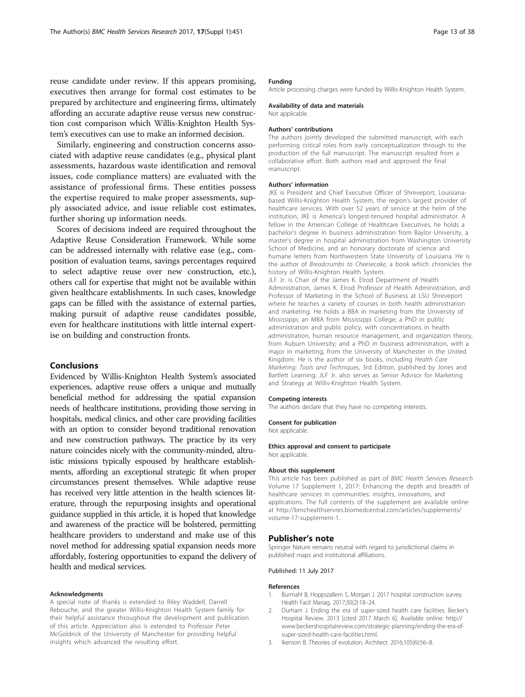<span id="page-8-0"></span>reuse candidate under review. If this appears promising, executives then arrange for formal cost estimates to be prepared by architecture and engineering firms, ultimately affording an accurate adaptive reuse versus new construction cost comparison which Willis-Knighton Health System's executives can use to make an informed decision.

Similarly, engineering and construction concerns associated with adaptive reuse candidates (e.g., physical plant assessments, hazardous waste identification and removal issues, code compliance matters) are evaluated with the assistance of professional firms. These entities possess the expertise required to make proper assessments, supply associated advice, and issue reliable cost estimates, further shoring up information needs.

Scores of decisions indeed are required throughout the Adaptive Reuse Consideration Framework. While some can be addressed internally with relative ease (e.g., composition of evaluation teams, savings percentages required to select adaptive reuse over new construction, etc.), others call for expertise that might not be available within given healthcare establishments. In such cases, knowledge gaps can be filled with the assistance of external parties, making pursuit of adaptive reuse candidates possible, even for healthcare institutions with little internal expertise on building and construction fronts.

## Conclusions

Evidenced by Willis-Knighton Health System's associated experiences, adaptive reuse offers a unique and mutually beneficial method for addressing the spatial expansion needs of healthcare institutions, providing those serving in hospitals, medical clinics, and other care providing facilities with an option to consider beyond traditional renovation and new construction pathways. The practice by its very nature coincides nicely with the community-minded, altruistic missions typically espoused by healthcare establishments, affording an exceptional strategic fit when proper circumstances present themselves. While adaptive reuse has received very little attention in the health sciences literature, through the repurposing insights and operational guidance supplied in this article, it is hoped that knowledge and awareness of the practice will be bolstered, permitting healthcare providers to understand and make use of this novel method for addressing spatial expansion needs more affordably, fostering opportunities to expand the delivery of health and medical services.

#### Acknowledgments

A special note of thanks is extended to Riley Waddell, Darrell Rebouche, and the greater Willis-Knighton Health System family for their helpful assistance throughout the development and publication of this article. Appreciation also is extended to Professor Peter McGoldrick of the University of Manchester for providing helpful insights which advanced the resulting effort.

#### Funding

Article processing charges were funded by Willis-Knighton Health System.

Availability of data and materials Not applicable

#### Authors' contributions

The authors jointly developed the submitted manuscript, with each performing critical roles from early conceptualization through to the production of the full manuscript. The manuscript resulted from a collaborative effort. Both authors read and approved the final manuscript.

#### Authors' information

JKE is President and Chief Executive Officer of Shreveport, Louisianabased Willis-Knighton Health System, the region's largest provider of healthcare services. With over 52 years of service at the helm of the institution, JKE is America's longest-tenured hospital administrator. A fellow in the American College of Healthcare Executives, he holds a bachelor's degree in business administration from Baylor University, a master's degree in hospital administration from Washington University School of Medicine, and an honorary doctorate of science and humane letters from Northwestern State University of Louisiana. He is the author of Breadcrumbs to Cheesecake, a book which chronicles the history of Willis-Knighton Health System. JLF Jr. is Chair of the James K. Elrod Department of Health

Administration, James K. Elrod Professor of Health Administration, and Professor of Marketing in the School of Business at LSU Shreveport where he teaches a variety of courses in both health administration and marketing. He holds a BBA in marketing from the University of Mississippi; an MBA from Mississippi College; a PhD in public administration and public policy, with concentrations in health administration, human resource management, and organization theory, from Auburn University; and a PhD in business administration, with a major in marketing, from the University of Manchester in the United Kingdom. He is the author of six books, including Health Care Marketing: Tools and Techniques, 3rd Edition, published by Jones and Bartlett Learning. JLF Jr. also serves as Senior Advisor for Marketing and Strategy at Willis-Knighton Health System.

#### Competing interests

The authors declare that they have no competing interests.

#### Consent for publication

Not applicable.

#### Ethics approval and consent to participate Not applicable.

#### About this supplement

This article has been published as part of BMC Health Services Research Volume 17 Supplement 1, 2017: Enhancing the depth and breadth of healthcare services in communities: insights, innovations, and applications. The full contents of the supplement are available online at [http://bmchealthservres.biomedcentral.com/articles/supplements/](http://bmchealthservres.biomedcentral.com/articles/supplements/volume-17-supplement-1) [volume-17-supplement-1.](http://bmchealthservres.biomedcentral.com/articles/supplements/volume-17-supplement-1)

#### Publisher's note

Springer Nature remains neutral with regard to jurisdictional claims in published maps and institutional affiliations.

Published: 11 July 2017

#### References

- 1. Burmahl B, Hoppszallern S, Morgan J. 2017 hospital construction survey. Health Facil Manag. 2017;30(2):18–24.
- 2. Durham J. Ending the era of super-sized health care facilities. Becker's Hospital Review. 2013 [cited 2017 March 6]. Available online: [http://](http://www.beckershospitalreview.com/strategic-planning/ending-the-era-of-super-sized-health-care-facilities.html) [www.beckershospitalreview.com/strategic-planning/ending-the-era-of](http://www.beckershospitalreview.com/strategic-planning/ending-the-era-of-super-sized-health-care-facilities.html)[super-sized-health-care-facilities.html.](http://www.beckershospitalreview.com/strategic-planning/ending-the-era-of-super-sized-health-care-facilities.html)
- 3. Ikenson B. Theories of evolution. Architect. 2016;105(6):56–8.